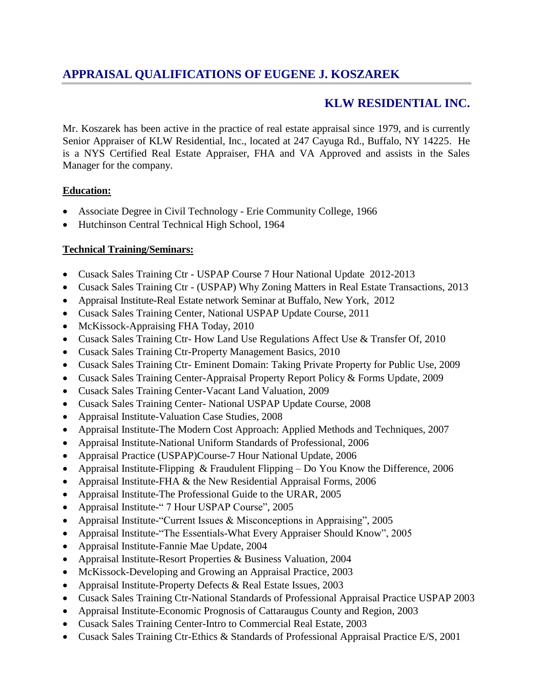# **APPRAISAL QUALIFICATIONS OF EUGENE J. KOSZAREK**

# **KLW RESIDENTIAL INC.**

Mr. Koszarek has been active in the practice of real estate appraisal since 1979, and is currently Senior Appraiser of KLW Residential, Inc., located at 247 Cayuga Rd., Buffalo, NY 14225. He is a NYS Certified Real Estate Appraiser, FHA and VA Approved and assists in the Sales Manager for the company.

### **Education:**

- Associate Degree in Civil Technology Erie Community College, 1966
- Hutchinson Central Technical High School, 1964

### **Technical Training/Seminars:**

- Cusack Sales Training Ctr USPAP Course 7 Hour National Update 2012-2013
- Cusack Sales Training Ctr (USPAP) Why Zoning Matters in Real Estate Transactions, 2013
- Appraisal Institute-Real Estate network Seminar at Buffalo, New York, 2012
- Cusack Sales Training Center, National USPAP Update Course, 2011
- McKissock-Appraising FHA Today, 2010
- Cusack Sales Training Ctr- How Land Use Regulations Affect Use & Transfer Of, 2010
- Cusack Sales Training Ctr-Property Management Basics, 2010
- Cusack Sales Training Ctr- Eminent Domain: Taking Private Property for Public Use, 2009
- Cusack Sales Training Center-Appraisal Property Report Policy & Forms Update, 2009
- Cusack Sales Training Center-Vacant Land Valuation, 2009
- Cusack Sales Training Center- National USPAP Update Course, 2008
- Appraisal Institute-Valuation Case Studies, 2008
- Appraisal Institute-The Modern Cost Approach: Applied Methods and Techniques, 2007
- Appraisal Institute-National Uniform Standards of Professional, 2006
- Appraisal Practice (USPAP)Course-7 Hour National Update, 2006
- Appraisal Institute-Flipping & Fraudulent Flipping Do You Know the Difference, 2006
- Appraisal Institute-FHA & the New Residential Appraisal Forms, 2006
- Appraisal Institute-The Professional Guide to the URAR, 2005
- Appraisal Institute-" 7 Hour USPAP Course", 2005
- Appraisal Institute-"Current Issues & Misconceptions in Appraising", 2005
- Appraisal Institute-"The Essentials-What Every Appraiser Should Know", 2005
- Appraisal Institute-Fannie Mae Update, 2004
- Appraisal Institute-Resort Properties & Business Valuation, 2004
- McKissock-Developing and Growing an Appraisal Practice, 2003
- Appraisal Institute-Property Defects & Real Estate Issues, 2003
- Cusack Sales Training Ctr-National Standards of Professional Appraisal Practice USPAP 2003
- Appraisal Institute-Economic Prognosis of Cattaraugus County and Region, 2003
- Cusack Sales Training Center-Intro to Commercial Real Estate, 2003
- Cusack Sales Training Ctr-Ethics & Standards of Professional Appraisal Practice E/S, 2001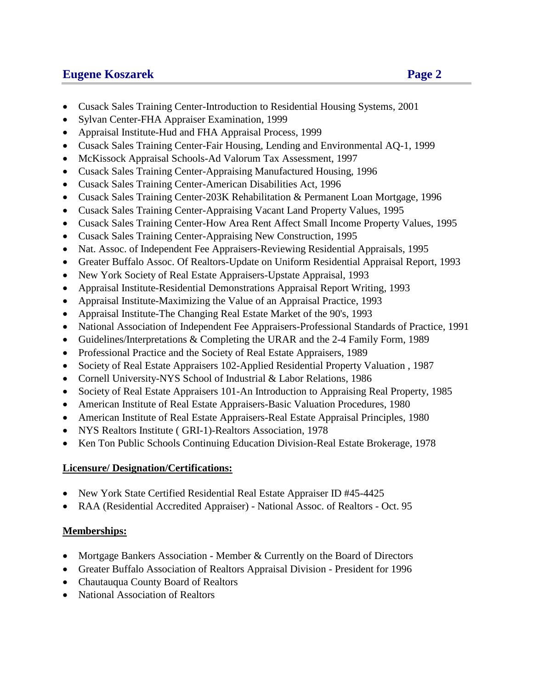# **Eugene Koszarek Page 2**

- Cusack Sales Training Center-Introduction to Residential Housing Systems, 2001
- Sylvan Center-FHA Appraiser Examination, 1999
- Appraisal Institute-Hud and FHA Appraisal Process, 1999
- Cusack Sales Training Center-Fair Housing, Lending and Environmental AQ-1, 1999
- McKissock Appraisal Schools-Ad Valorum Tax Assessment, 1997
- Cusack Sales Training Center-Appraising Manufactured Housing, 1996
- Cusack Sales Training Center-American Disabilities Act, 1996
- Cusack Sales Training Center-203K Rehabilitation & Permanent Loan Mortgage, 1996
- Cusack Sales Training Center-Appraising Vacant Land Property Values, 1995
- Cusack Sales Training Center-How Area Rent Affect Small Income Property Values, 1995
- Cusack Sales Training Center-Appraising New Construction, 1995
- Nat. Assoc. of Independent Fee Appraisers-Reviewing Residential Appraisals, 1995
- Greater Buffalo Assoc. Of Realtors-Update on Uniform Residential Appraisal Report, 1993
- New York Society of Real Estate Appraisers-Upstate Appraisal, 1993
- Appraisal Institute-Residential Demonstrations Appraisal Report Writing, 1993
- Appraisal Institute-Maximizing the Value of an Appraisal Practice, 1993
- Appraisal Institute-The Changing Real Estate Market of the 90's, 1993
- National Association of Independent Fee Appraisers-Professional Standards of Practice, 1991
- Guidelines/Interpretations & Completing the URAR and the 2-4 Family Form, 1989
- Professional Practice and the Society of Real Estate Appraisers, 1989
- Society of Real Estate Appraisers 102-Applied Residential Property Valuation , 1987
- Cornell University-NYS School of Industrial & Labor Relations, 1986
- Society of Real Estate Appraisers 101-An Introduction to Appraising Real Property, 1985
- American Institute of Real Estate Appraisers-Basic Valuation Procedures, 1980
- American Institute of Real Estate Appraisers-Real Estate Appraisal Principles, 1980
- NYS Realtors Institute ( GRI-1)-Realtors Association, 1978
- Ken Ton Public Schools Continuing Education Division-Real Estate Brokerage, 1978

### **Licensure/ Designation/Certifications:**

- New York State Certified Residential Real Estate Appraiser ID #45-4425
- RAA (Residential Accredited Appraiser) National Assoc. of Realtors Oct. 95

## **Memberships:**

- Mortgage Bankers Association Member & Currently on the Board of Directors
- Greater Buffalo Association of Realtors Appraisal Division President for 1996
- Chautauqua County Board of Realtors
- National Association of Realtors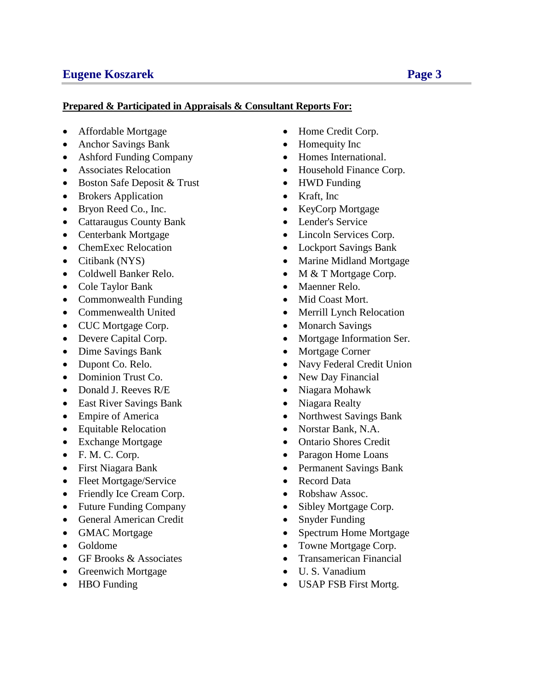# **Eugene Koszarek Page 3**

#### **Prepared & Participated in Appraisals & Consultant Reports For:**

- Affordable Mortgage **Home Credit Corp.**
- Anchor Savings Bank Homequity Inc
- Ashford Funding Company Homes International.
- 
- Boston Safe Deposit & Trust HWD Funding
- Brokers Application Kraft, Inc
- Bryon Reed Co., Inc. KeyCorp Mortgage
- Cattaraugus County Bank Lender's Service
- 
- 
- 
- 
- Cole Taylor Bank Maenner Relo.
- Commonwealth Funding Mid Coast Mort.
- 
- CUC Mortgage Corp. Monarch Savings
- 
- Dime Savings Bank Mortgage Corner
- 
- Dominion Trust Co. New Day Financial
- Donald J. Reeves R/E Niagara Mohawk
- East River Savings Bank Niagara Realty
- 
- Equitable Relocation Norstar Bank, N.A.
- 
- 
- 
- Fleet Mortgage/Service Record Data
- Friendly Ice Cream Corp. Robshaw Assoc.
- Future Funding Company Sibley Mortgage Corp.
- General American Credit Snyder Funding
- 
- 
- 
- Greenwich Mortgage U. S. Vanadium
- 
- 
- 
- 
- Associates Relocation Household Finance Corp.
	-
	-
	-
	-
- Centerbank Mortgage **Centerbank Mortgage Communist Communist Communist Communist Communist Communist Communist Communist Communist Communist Communist Communist Communist Communist Communist**
- ChemExec Relocation Lockport Savings Bank
- Citibank (NYS) Marine Midland Mortgage
- Coldwell Banker Relo. M & T Mortgage Corp.
	-
	-
- Commenwealth United Merrill Lynch Relocation
	-
- Devere Capital Corp. Mortgage Information Ser.
	-
- Dupont Co. Relo. Navy Federal Credit Union
	-
	-
	-
- Empire of America Northwest Savings Bank
	-
- Exchange Mortgage **Canadian Contario Shores Credit**
- F. M. C. Corp. **Paragon Home Loans**
- First Niagara Bank Permanent Savings Bank
	-
	-
	-
	-
- GMAC Mortgage Spectrum Home Mortgage
- Goldome **Towne Mortgage Corp.**
- GF Brooks & Associates Transamerican Financial
	-
- HBO Funding USAP FSB First Mortg.